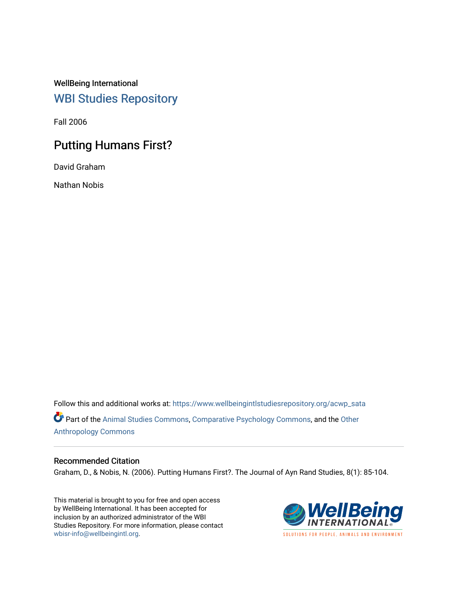WellBeing International [WBI Studies Repository](https://www.wellbeingintlstudiesrepository.org/)

Fall 2006

# Putting Humans First?

David Graham

Nathan Nobis

Follow this and additional works at: [https://www.wellbeingintlstudiesrepository.org/acwp\\_sata](https://www.wellbeingintlstudiesrepository.org/acwp_sata?utm_source=www.wellbeingintlstudiesrepository.org%2Facwp_sata%2F16&utm_medium=PDF&utm_campaign=PDFCoverPages) Part of the [Animal Studies Commons,](http://network.bepress.com/hgg/discipline/1306?utm_source=www.wellbeingintlstudiesrepository.org%2Facwp_sata%2F16&utm_medium=PDF&utm_campaign=PDFCoverPages) [Comparative Psychology Commons,](http://network.bepress.com/hgg/discipline/1387?utm_source=www.wellbeingintlstudiesrepository.org%2Facwp_sata%2F16&utm_medium=PDF&utm_campaign=PDFCoverPages) and the [Other](http://network.bepress.com/hgg/discipline/324?utm_source=www.wellbeingintlstudiesrepository.org%2Facwp_sata%2F16&utm_medium=PDF&utm_campaign=PDFCoverPages)  [Anthropology Commons](http://network.bepress.com/hgg/discipline/324?utm_source=www.wellbeingintlstudiesrepository.org%2Facwp_sata%2F16&utm_medium=PDF&utm_campaign=PDFCoverPages)

## Recommended Citation

Graham, D., & Nobis, N. (2006). Putting Humans First?. The Journal of Ayn Rand Studies, 8(1): 85-104.

This material is brought to you for free and open access by WellBeing International. It has been accepted for inclusion by an authorized administrator of the WBI Studies Repository. For more information, please contact [wbisr-info@wellbeingintl.org](mailto:wbisr-info@wellbeingintl.org).

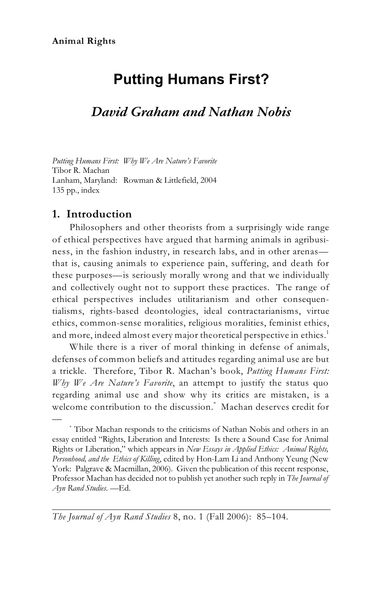## **Putting Humans First?**

## *David Graham and Nathan Nobis*

*Putting Humans First: Why We Are Nature's Favorite* Tibor R. Machan Lanham, Maryland: Rowman & Littlefield, 2004 135 pp., index

#### **1. Introduction**

—

Philosophers and other theorists from a surprisingly wide range of ethical perspectives have argued that harming animals in agribusiness, in the fashion industry, in research labs, and in other arenas that is, causing animals to experience pain, suffering, and death for these purposes—is seriously morally wrong and that we individually and collectively ought not to support these practices. The range of ethical perspectives includes utilitarianism and other consequentialisms, rights-based deontologies, ideal contractarianisms, virtue ethics, common-sense moralities, religious moralities, feminist ethics, and more, indeed almost every major theoretical perspective in ethics. $^{\rm 1}$ 

While there is a river of moral thinking in defense of animals, defenses of common beliefs and attitudes regarding animal use are but a trickle. Therefore, Tibor R. Machan's book, *Putting Humans First: Why We Are Nature's Favorite*, an attempt to justify the status quo regarding animal use and show why its critics are mistaken, is a welcome contribution to the discussion.<sup>\*</sup> Machan deserves credit for

*The Journal of Ayn Rand Studies* 8, no. 1 (Fall 2006): 85–104.

Tibor Machan responds to the criticisms of Nathan Nobis and others in an \* essay entitled "Rights, Liberation and Interests: Is there a Sound Case for Animal Rights or Liberation," which appears in *New Essays in Applied Ethics: Animal Rights, Personhood, and the Ethics of Killing*, edited by Hon-Lam Li and Anthony Yeung (New York: Palgrave & Macmillan, 2006). Given the publication of this recent response, Professor Machan has decided not to publish yet another such reply in *The Journal of Ayn Rand Studies*. —Ed.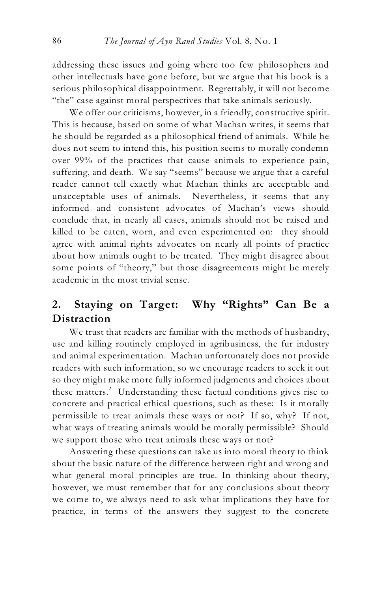addressing these issues and going where too few philosophers and other intellectuals have gone before, but we argue that his book is a serious philosophical disappointment. Regrettably, it will not become "the" case against moral perspectives that take animals seriously.

We offer our criticisms, however, in a friendly, constructive spirit. This is because, based on some of what Machan writes, it seems that he should be regarded as a philosophical friend of animals. While he does not seem to intend this, his position seems to morally condemn over 99% of the practices that cause animals to experience pain, suffering, and death. We say "seems" because we argue that a careful reader cannot tell exactly what Machan thinks are acceptable and unacceptable uses of animals. Nevertheless, it seems that any informed and consistent advocates of Machan's views should conclude that, in nearly all cases, animals should not be raised and killed to be eaten, worn, and even experimented on: they should agree with animal rights advocates on nearly all points of practice about how animals ought to be treated. They might disagree about some points of "theory," but those disagreements might be merely academic in the most trivial sense.

## **2. Staying on Target: Why "Rights" Can Be a Distraction**

We trust that readers are familiar with the methods of husbandry, use and killing routinely employed in agribusiness, the fur industry and animal experimentation. Machan unfortunately does not provide readers with such information, so we encourage readers to seek it out so they might make more fully informed judgments and choices about these matters. $^2$  Understanding these factual conditions gives rise to concrete and practical ethical questions, such as these: Is it morally permissible to treat animals these ways or not? If so, why? If not, what ways of treating animals would be morally permissible? Should we support those who treat animals these ways or not?

Answering these questions can take us into moral theory to think about the basic nature of the difference between right and wrong and what general moral principles are true. In thinking about theory, however, we must remember that for any conclusions about theory we come to, we always need to ask what implications they have for practice, in terms of the answers they suggest to the concrete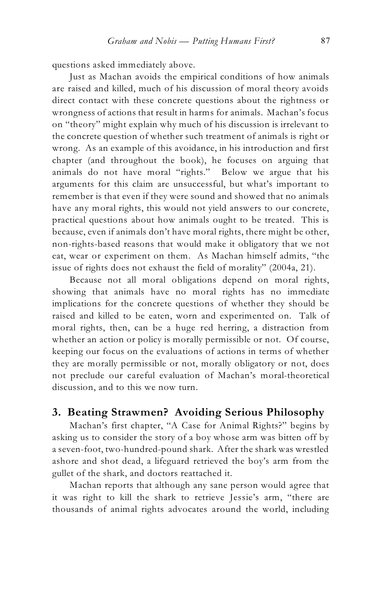questions asked immediately above.

Just as Machan avoids the empirical conditions of how animals are raised and killed, much of his discussion of moral theory avoids direct contact with these concrete questions about the rightness or wrongness of actions that result in harms for animals. Machan's focus on "theory" might explain why much of his discussion is irrelevant to the concrete question of whether such treatment of animals is right or wrong. As an example of this avoidance, in his introduction and first chapter (and throughout the book), he focuses on arguing that animals do not have moral "rights." Below we argue that his arguments for this claim are unsuccessful, but what's important to remember is that even if they were sound and showed that no animals have any moral rights, this would not yield answers to our concrete, practical questions about how animals ought to be treated. This is because, even if animals don't have moral rights, there might be other, non-rights-based reasons that would make it obligatory that we not eat, wear or experiment on them. As Machan himself admits, "the issue of rights does not exhaust the field of morality" (2004a, 21).

Because not all moral obligations depend on moral rights, showing that animals have no moral rights has no immediate implications for the concrete questions of whether they should be raised and killed to be eaten, worn and experimented on. Talk of moral rights, then, can be a huge red herring, a distraction from whether an action or policy is morally permissible or not. Of course, keeping our focus on the evaluations of actions in terms of whether they are morally permissible or not, morally obligatory or not, does not preclude our careful evaluation of Machan's moral-theoretical discussion, and to this we now turn.

## **3. Beating Strawmen? Avoiding Serious Philosophy**

Machan's first chapter, "A Case for Animal Rights?" begins by asking us to consider the story of a boy whose arm was bitten off by a seven-foot, two-hundred-pound shark. After the shark was wrestled ashore and shot dead, a lifeguard retrieved the boy's arm from the gullet of the shark, and doctors reattached it.

Machan reports that although any sane person would agree that it was right to kill the shark to retrieve Jessie's arm, "there are thousands of animal rights advocates around the world, including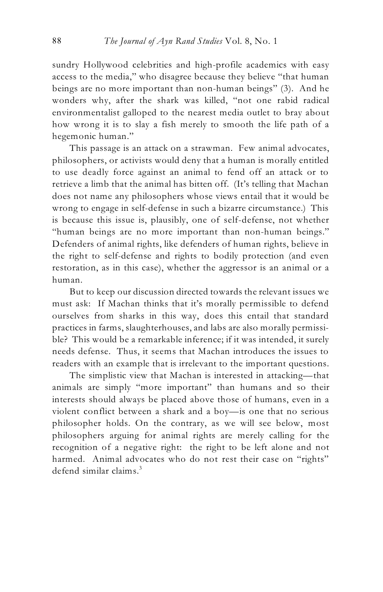sundry Hollywood celebrities and high-profile academics with easy access to the media," who disagree because they believe "that human beings are no more important than non-human beings" (3). And he wonders why, after the shark was killed, "not one rabid radical environmentalist galloped to the nearest media outlet to bray about how wrong it is to slay a fish merely to smooth the life path of a hegemonic human."

This passage is an attack on a strawman. Few animal advocates, philosophers, or activists would deny that a human is morally entitled to use deadly force against an animal to fend off an attack or to retrieve a limb that the animal has bitten off. (It's telling that Machan does not name any philosophers whose views entail that it would be wrong to engage in self-defense in such a bizarre circumstance.) This is because this issue is, plausibly, one of self-defense, not whether "human beings are no more important than non-human beings." Defenders of animal rights, like defenders of human rights, believe in the right to self-defense and rights to bodily protection (and even restoration, as in this case), whether the aggressor is an animal or a human.

But to keep our discussion directed towards the relevant issues we must ask: If Machan thinks that it's morally permissible to defend ourselves from sharks in this way, does this entail that standard practices in farms, slaughterhouses, and labs are also morally permissible? This would be a remarkable inference; if it was intended, it surely needs defense. Thus, it seems that Machan introduces the issues to readers with an example that is irrelevant to the important questions.

The simplistic view that Machan is interested in attacking—that animals are simply "more important" than humans and so their interests should always be placed above those of humans, even in a violent conflict between a shark and a boy—is one that no serious philosopher holds. On the contrary, as we will see below, most philosophers arguing for animal rights are merely calling for the recognition of a negative right: the right to be left alone and not harmed. Animal advocates who do not rest their case on "rights" defend similar claims. 3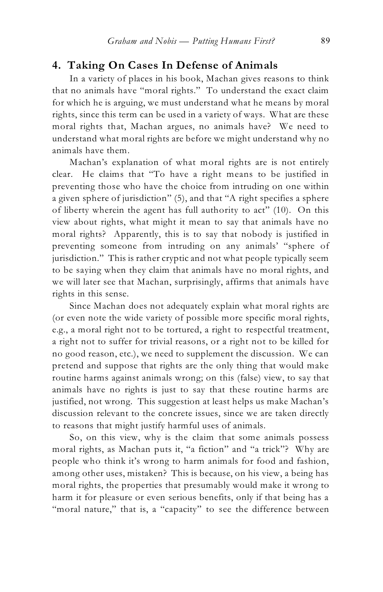#### **4. Taking On Cases In Defense of Animals**

In a variety of places in his book, Machan gives reasons to think that no animals have "moral rights." To understand the exact claim for which he is arguing, we must understand what he means by moral rights, since this term can be used in a variety of ways. What are these moral rights that, Machan argues, no animals have? We need to understand what moral rights are before we might understand why no animals have them.

Machan's explanation of what moral rights are is not entirely clear. He claims that "To have a right means to be justified in preventing those who have the choice from intruding on one within a given sphere of jurisdiction" (5), and that "A right specifies a sphere of liberty wherein the agent has full authority to act" (10). On this view about rights, what might it mean to say that animals have no moral rights? Apparently, this is to say that nobody is justified in preventing someone from intruding on any animals' "sphere of jurisdiction." This is rather cryptic and not what people typically seem to be saying when they claim that animals have no moral rights, and we will later see that Machan, surprisingly, affirms that animals have rights in this sense.

Since Machan does not adequately explain what moral rights are (or even note the wide variety of possible more specific moral rights, e.g., a moral right not to be tortured, a right to respectful treatment, a right not to suffer for trivial reasons, or a right not to be killed for no good reason, etc.), we need to supplement the discussion. We can pretend and suppose that rights are the only thing that would make routine harms against animals wrong; on this (false) view, to say that animals have no rights is just to say that these routine harms are justified, not wrong. This suggestion at least helps us make Machan's discussion relevant to the concrete issues, since we are taken directly to reasons that might justify harmful uses of animals.

So, on this view, why is the claim that some animals possess moral rights, as Machan puts it, "a fiction" and "a trick"? Why are people who think it's wrong to harm animals for food and fashion, among other uses, mistaken? This is because, on his view, a being has moral rights, the properties that presumably would make it wrong to harm it for pleasure or even serious benefits, only if that being has a "moral nature," that is, a "capacity" to see the difference between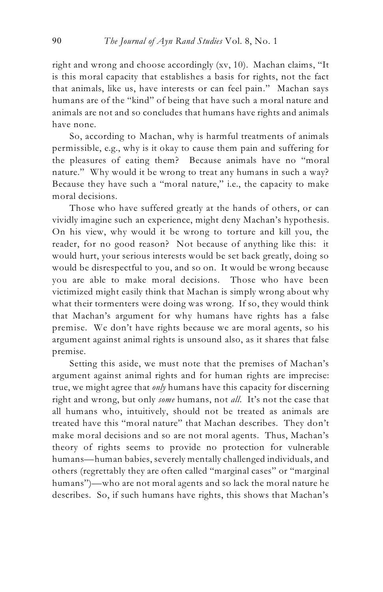right and wrong and choose accordingly (xv, 10). Machan claims, "It is this moral capacity that establishes a basis for rights, not the fact that animals, like us, have interests or can feel pain." Machan says humans are of the "kind" of being that have such a moral nature and animals are not and so concludes that humans have rights and animals have none.

So, according to Machan, why is harmful treatments of animals permissible, e.g., why is it okay to cause them pain and suffering for the pleasures of eating them? Because animals have no "moral nature." Why would it be wrong to treat any humans in such a way? Because they have such a "moral nature," i.e., the capacity to make moral decisions.

Those who have suffered greatly at the hands of others, or can vividly imagine such an experience, might deny Machan's hypothesis. On his view, why would it be wrong to torture and kill you, the reader, for no good reason? Not because of anything like this: it would hurt, your serious interests would be set back greatly, doing so would be disrespectful to you, and so on. It would be wrong because you are able to make moral decisions. Those who have been victimized might easily think that Machan is simply wrong about why what their tormenters were doing was wrong. If so, they would think that Machan's argument for why humans have rights has a false premise. We don't have rights because we are moral agents, so his argument against animal rights is unsound also, as it shares that false premise.

Setting this aside, we must note that the premises of Machan's argument against animal rights and for human rights are imprecise: true, we might agree that *only* humans have this capacity for discerning right and wrong, but only *some* humans, not *all*. It's not the case that all humans who, intuitively, should not be treated as animals are treated have this "moral nature" that Machan describes. They don't make moral decisions and so are not moral agents. Thus, Machan's theory of rights seems to provide no protection for vulnerable humans—human babies, severely mentally challenged individuals, and others (regrettably they are often called "marginal cases" or "marginal humans")—who are not moral agents and so lack the moral nature he describes. So, if such humans have rights, this shows that Machan's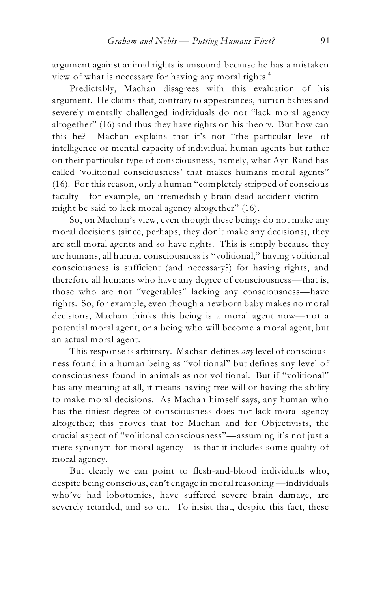argument against animal rights is unsound because he has a mistaken view of what is necessary for having any moral rights. 4

Predictably, Machan disagrees with this evaluation of his argument. He claims that, contrary to appearances, human babies and severely mentally challenged individuals do not "lack moral agency altogether" (16) and thus they have rights on his theory. But how can this be? Machan explains that it's not "the particular level of intelligence or mental capacity of individual human agents but rather on their particular type of consciousness, namely, what Ayn Rand has called 'volitional consciousness' that makes humans moral agents" (16). For this reason, only a human "completely stripped of conscious faculty—for example, an irremediably brain-dead accident victim might be said to lack moral agency altogether" (16).

So, on Machan's view, even though these beings do not make any moral decisions (since, perhaps, they don't make any decisions), they are still moral agents and so have rights. This is simply because they are humans, all human consciousness is "volitional," having volitional consciousness is sufficient (and necessary?) for having rights, and therefore all humans who have any degree of consciousness—that is, those who are not "vegetables" lacking any consciousness—have rights. So, for example, even though a newborn baby makes no moral decisions, Machan thinks this being is a moral agent now—not a potential moral agent, or a being who will become a moral agent, but an actual moral agent.

This response is arbitrary. Machan defines *any* level of consciousness found in a human being as "volitional" but defines any level of consciousness found in animals as not volitional. But if "volitional" has any meaning at all, it means having free will or having the ability to make moral decisions. As Machan himself says, any human who has the tiniest degree of consciousness does not lack moral agency altogether; this proves that for Machan and for Objectivists, the crucial aspect of "volitional consciousness"—assuming it's not just a mere synonym for moral agency—is that it includes some quality of moral agency.

But clearly we can point to flesh-and-blood individuals who, despite being conscious, can't engage in moral reasoning —individuals who've had lobotomies, have suffered severe brain damage, are severely retarded, and so on. To insist that, despite this fact, these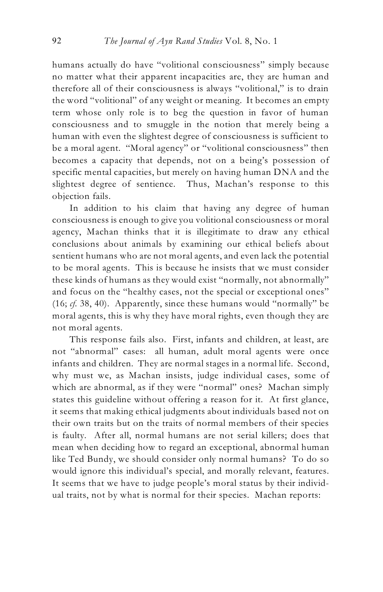humans actually do have "volitional consciousness" simply because no matter what their apparent incapacities are, they are human and therefore all of their consciousness is always "volitional," is to drain the word "volitional" of any weight or meaning. It becomes an empty term whose only role is to beg the question in favor of human consciousness and to smuggle in the notion that merely being a human with even the slightest degree of consciousness is sufficient to be a moral agent. "Moral agency" or "volitional consciousness" then becomes a capacity that depends, not on a being's possession of specific mental capacities, but merely on having human DNA and the slightest degree of sentience. Thus, Machan's response to this objection fails.

In addition to his claim that having any degree of human consciousness is enough to give you volitional consciousness or moral agency, Machan thinks that it is illegitimate to draw any ethical conclusions about animals by examining our ethical beliefs about sentient humans who are not moral agents, and even lack the potential to be moral agents. This is because he insists that we must consider these kinds of humans as they would exist "normally, not abnormally" and focus on the "healthy cases, not the special or exceptional ones" (16; *cf*. 38, 40). Apparently, since these humans would "normally" be moral agents, this is why they have moral rights, even though they are not moral agents.

This response fails also. First, infants and children, at least, are not "abnormal" cases: all human, adult moral agents were once infants and children. They are normal stages in a normal life. Second, why must we, as Machan insists, judge individual cases, some of which are abnormal, as if they were "normal" ones? Machan simply states this guideline without offering a reason for it. At first glance, it seems that making ethical judgments about individuals based not on their own traits but on the traits of normal members of their species is faulty. After all, normal humans are not serial killers; does that mean when deciding how to regard an exceptional, abnormal human like Ted Bundy, we should consider only normal humans? To do so would ignore this individual's special, and morally relevant, features. It seems that we have to judge people's moral status by their individual traits, not by what is normal for their species. Machan reports: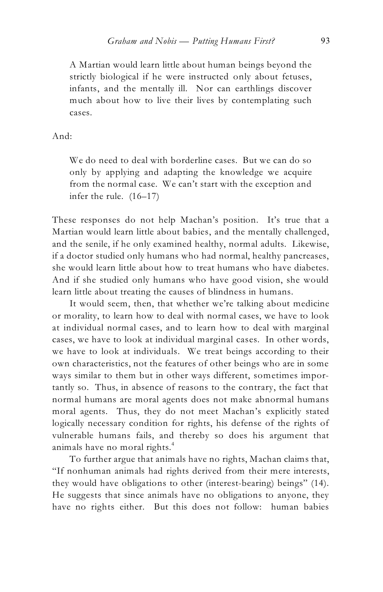A Martian would learn little about human beings beyond the strictly biological if he were instructed only about fetuses, infants, and the mentally ill. Nor can earthlings discover much about how to live their lives by contemplating such cases.

And:

We do need to deal with borderline cases. But we can do so only by applying and adapting the knowledge we acquire from the normal case. We can't start with the exception and infer the rule. (16–17)

These responses do not help Machan's position. It's true that a Martian would learn little about babies, and the mentally challenged, and the senile, if he only examined healthy, normal adults. Likewise, if a doctor studied only humans who had normal, healthy pancreases, she would learn little about how to treat humans who have diabetes. And if she studied only humans who have good vision, she would learn little about treating the causes of blindness in humans.

It would seem, then, that whether we're talking about medicine or morality, to learn how to deal with normal cases, we have to look at individual normal cases, and to learn how to deal with marginal cases, we have to look at individual marginal cases. In other words, we have to look at individuals. We treat beings according to their own characteristics, not the features of other beings who are in some ways similar to them but in other ways different, sometimes importantly so. Thus, in absence of reasons to the contrary, the fact that normal humans are moral agents does not make abnormal humans moral agents. Thus, they do not meet Machan's explicitly stated logically necessary condition for rights, his defense of the rights of vulnerable humans fails, and thereby so does his argument that animals have no moral rights. 4

To further argue that animals have no rights, Machan claims that, "If nonhuman animals had rights derived from their mere interests, they would have obligations to other (interest-bearing) beings" (14). He suggests that since animals have no obligations to anyone, they have no rights either. But this does not follow: human babies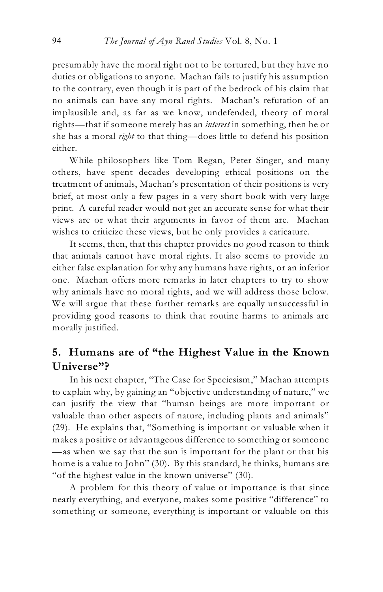presumably have the moral right not to be tortured, but they have no duties or obligations to anyone. Machan fails to justify his assumption to the contrary, even though it is part of the bedrock of his claim that no animals can have any moral rights. Machan's refutation of an implausible and, as far as we know, undefended, theory of moral rights—that if someone merely has an *interest* in something, then he or she has a moral *right* to that thing—does little to defend his position either.

While philosophers like Tom Regan, Peter Singer, and many others, have spent decades developing ethical positions on the treatment of animals, Machan's presentation of their positions is very brief, at most only a few pages in a very short book with very large print. A careful reader would not get an accurate sense for what their views are or what their arguments in favor of them are. Machan wishes to criticize these views, but he only provides a caricature.

It seems, then, that this chapter provides no good reason to think that animals cannot have moral rights. It also seems to provide an either false explanation for why any humans have rights, or an inferior one. Machan offers more remarks in later chapters to try to show why animals have no moral rights, and we will address those below. We will argue that these further remarks are equally unsuccessful in providing good reasons to think that routine harms to animals are morally justified.

## **5. Humans are of "the Highest Value in the Known Universe"?**

In his next chapter, "The Case for Speciesism," Machan attempts to explain why, by gaining an "objective understanding of nature," we can justify the view that "human beings are more important or valuable than other aspects of nature, including plants and animals" (29). He explains that, "Something is important or valuable when it makes a positive or advantageous difference to something or someone —as when we say that the sun is important for the plant or that his home is a value to John" (30). By this standard, he thinks, humans are "of the highest value in the known universe" (30).

A problem for this theory of value or importance is that since nearly everything, and everyone, makes some positive "difference" to something or someone, everything is important or valuable on this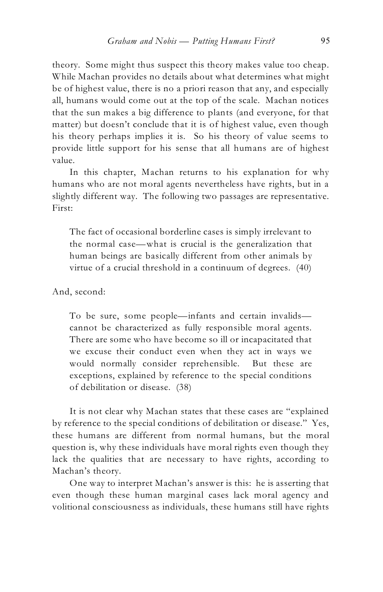theory. Some might thus suspect this theory makes value too cheap. While Machan provides no details about what determines what might be of highest value, there is no a priori reason that any, and especially all, humans would come out at the top of the scale. Machan notices that the sun makes a big difference to plants (and everyone, for that matter) but doesn't conclude that it is of highest value, even though his theory perhaps implies it is. So his theory of value seems to provide little support for his sense that all humans are of highest value.

In this chapter, Machan returns to his explanation for why humans who are not moral agents nevertheless have rights, but in a slightly different way. The following two passages are representative. First:

The fact of occasional borderline cases is simply irrelevant to the normal case—what is crucial is the generalization that human beings are basically different from other animals by virtue of a crucial threshold in a continuum of degrees. (40)

And, second:

To be sure, some people—infants and certain invalids cannot be characterized as fully responsible moral agents. There are some who have become so ill or incapacitated that we excuse their conduct even when they act in ways we would normally consider reprehensible. But these are exceptions, explained by reference to the special conditions of debilitation or disease. (38)

It is not clear why Machan states that these cases are "explained by reference to the special conditions of debilitation or disease." Yes, these humans are different from normal humans, but the moral question is, why these individuals have moral rights even though they lack the qualities that are necessary to have rights, according to Machan's theory.

One way to interpret Machan's answer is this: he is asserting that even though these human marginal cases lack moral agency and volitional consciousness as individuals, these humans still have rights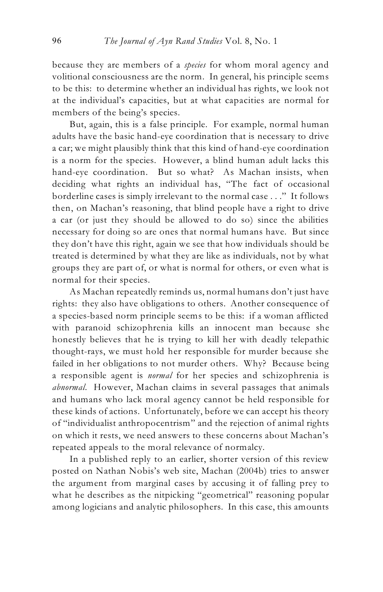because they are members of a *species* for whom moral agency and volitional consciousness are the norm. In general, his principle seems to be this: to determine whether an individual has rights, we look not at the individual's capacities, but at what capacities are normal for members of the being's species.

But, again, this is a false principle. For example, normal human adults have the basic hand-eye coordination that is necessary to drive a car; we might plausibly think that this kind of hand-eye coordination is a norm for the species. However, a blind human adult lacks this hand-eye coordination. But so what? As Machan insists, when deciding what rights an individual has, "The fact of occasional borderline cases is simply irrelevant to the normal case . . ." It follows then, on Machan's reasoning, that blind people have a right to drive a car (or just they should be allowed to do so) since the abilities necessary for doing so are ones that normal humans have. But since they don't have this right, again we see that how individuals should be treated is determined by what they are like as individuals, not by what groups they are part of, or what is normal for others, or even what is normal for their species.

As Machan repeatedly reminds us, normal humans don't just have rights: they also have obligations to others. Another consequence of a species-based norm principle seems to be this: if a woman afflicted with paranoid schizophrenia kills an innocent man because she honestly believes that he is trying to kill her with deadly telepathic thought-rays, we must hold her responsible for murder because she failed in her obligations to not murder others. Why? Because being a responsible agent is *normal* for her species and schizophrenia is *abnormal*. However, Machan claims in several passages that animals and humans who lack moral agency cannot be held responsible for these kinds of actions. Unfortunately, before we can accept his theory of "individualist anthropocentrism" and the rejection of animal rights on which it rests, we need answers to these concerns about Machan's repeated appeals to the moral relevance of normalcy.

In a published reply to an earlier, shorter version of this review posted on Nathan Nobis's web site, Machan (2004b) tries to answer the argument from marginal cases by accusing it of falling prey to what he describes as the nitpicking "geometrical" reasoning popular among logicians and analytic philosophers. In this case, this amounts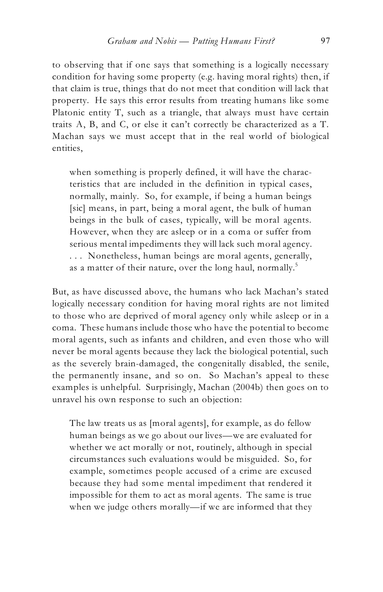to observing that if one says that something is a logically necessary condition for having some property (e.g. having moral rights) then, if that claim is true, things that do not meet that condition will lack that property. He says this error results from treating humans like some Platonic entity T, such as a triangle, that always must have certain traits A, B, and C, or else it can't correctly be characterized as a T. Machan says we must accept that in the real world of biological entities,

when something is properly defined, it will have the characteristics that are included in the definition in typical cases, normally, mainly. So, for example, if being a human beings [sic] means, in part, being a moral agent, the bulk of human beings in the bulk of cases, typically, will be moral agents. However, when they are asleep or in a coma or suffer from serious mental impediments they will lack such moral agency. . . . Nonetheless, human beings are moral agents, generally, as a matter of their nature, over the long haul, normally. $^5$ 

But, as have discussed above, the humans who lack Machan's stated logically necessary condition for having moral rights are not limited to those who are deprived of moral agency only while asleep or in a coma. These humans include those who have the potential to become moral agents, such as infants and children, and even those who will never be moral agents because they lack the biological potential, such as the severely brain-damaged, the congenitally disabled, the senile, the permanently insane, and so on. So Machan's appeal to these examples is unhelpful. Surprisingly, Machan (2004b) then goes on to unravel his own response to such an objection:

The law treats us as [moral agents], for example, as do fellow human beings as we go about our lives—we are evaluated for whether we act morally or not, routinely, although in special circumstances such evaluations would be misguided. So, for example, sometimes people accused of a crime are excused because they had some mental impediment that rendered it impossible for them to act as moral agents. The same is true when we judge others morally—if we are informed that they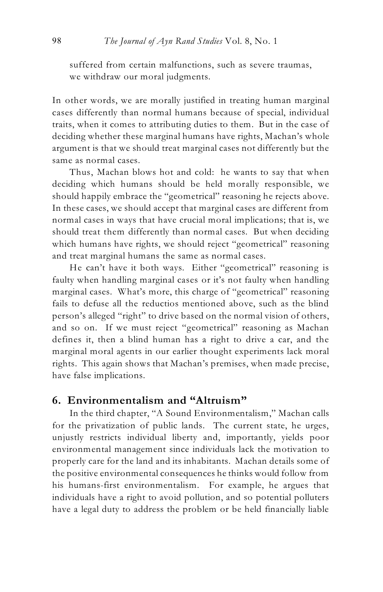suffered from certain malfunctions, such as severe traumas, we withdraw our moral judgments.

In other words, we are morally justified in treating human marginal cases differently than normal humans because of special, individual traits, when it comes to attributing duties to them. But in the case of deciding whether these marginal humans have rights, Machan's whole argument is that we should treat marginal cases not differently but the same as normal cases.

Thus, Machan blows hot and cold: he wants to say that when deciding which humans should be held morally responsible, we should happily embrace the "geometrical" reasoning he rejects above. In these cases, we should accept that marginal cases are different from normal cases in ways that have crucial moral implications; that is, we should treat them differently than normal cases. But when deciding which humans have rights, we should reject "geometrical" reasoning and treat marginal humans the same as normal cases.

He can't have it both ways. Either "geometrical" reasoning is faulty when handling marginal cases or it's not faulty when handling marginal cases. What's more, this charge of "geometrical" reasoning fails to defuse all the reductios mentioned above, such as the blind person's alleged "right" to drive based on the normal vision of others, and so on. If we must reject "geometrical" reasoning as Machan defines it, then a blind human has a right to drive a car, and the marginal moral agents in our earlier thought experiments lack moral rights. This again shows that Machan's premises, when made precise, have false implications.

### **6. Environmentalism and "Altruism"**

In the third chapter, "A Sound Environmentalism," Machan calls for the privatization of public lands. The current state, he urges, unjustly restricts individual liberty and, importantly, yields poor environmental management since individuals lack the motivation to properly care for the land and its inhabitants. Machan details some of the positive environmental consequences he thinks would follow from his humans-first environmentalism. For example, he argues that individuals have a right to avoid pollution, and so potential polluters have a legal duty to address the problem or be held financially liable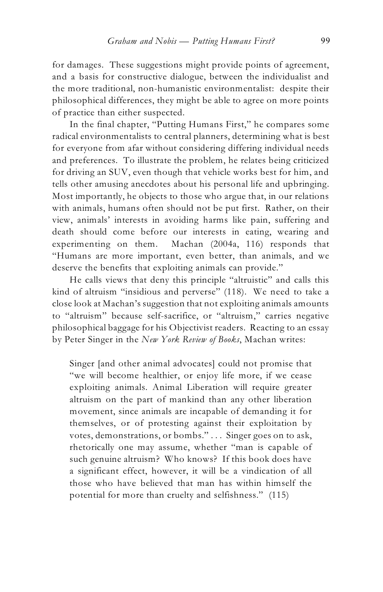for damages. These suggestions might provide points of agreement, and a basis for constructive dialogue, between the individualist and the more traditional, non-humanistic environmentalist: despite their philosophical differences, they might be able to agree on more points of practice than either suspected.

In the final chapter, "Putting Humans First," he compares some radical environmentalists to central planners, determining what is best for everyone from afar without considering differing individual needs and preferences. To illustrate the problem, he relates being criticized for driving an SUV, even though that vehicle works best for him, and tells other amusing anecdotes about his personal life and upbringing. Most importantly, he objects to those who argue that, in our relations with animals, humans often should not be put first. Rather, on their view, animals' interests in avoiding harms like pain, suffering and death should come before our interests in eating, wearing and experimenting on them. Machan (2004a, 116) responds that "Humans are more important, even better, than animals, and we deserve the benefits that exploiting animals can provide."

He calls views that deny this principle "altruistic" and calls this kind of altruism "insidious and perverse" (118). We need to take a close look at Machan's suggestion that not exploiting animals amounts to "altruism" because self-sacrifice, or "altruism," carries negative philosophical baggage for his Objectivist readers. Reacting to an essay by Peter Singer in the *New York Review of Books*, Machan writes:

Singer [and other animal advocates] could not promise that "we will become healthier, or enjoy life more, if we cease exploiting animals. Animal Liberation will require greater altruism on the part of mankind than any other liberation movement, since animals are incapable of demanding it for themselves, or of protesting against their exploitation by votes, demonstrations, or bombs." . . . Singer goes on to ask, rhetorically one may assume, whether "man is capable of such genuine altruism? Who knows? If this book does have a significant effect, however, it will be a vindication of all those who have believed that man has within himself the potential for more than cruelty and selfishness." (115)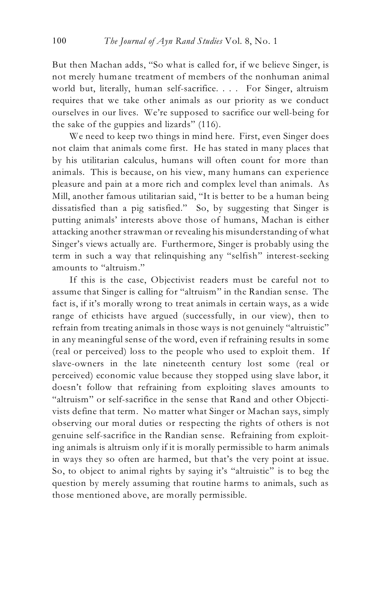But then Machan adds, "So what is called for, if we believe Singer, is not merely humane treatment of members of the nonhuman animal world but, literally, human self-sacrifice. . . . For Singer, altruism requires that we take other animals as our priority as we conduct ourselves in our lives. We're supposed to sacrifice our well-being for the sake of the guppies and lizards" (116).

We need to keep two things in mind here. First, even Singer does not claim that animals come first. He has stated in many places that by his utilitarian calculus, humans will often count for more than animals. This is because, on his view, many humans can experience pleasure and pain at a more rich and complex level than animals. As Mill, another famous utilitarian said, "It is better to be a human being dissatisfied than a pig satisfied." So, by suggesting that Singer is putting animals' interests above those of humans, Machan is either attacking another strawman or revealing his misunderstanding of what Singer's views actually are. Furthermore, Singer is probably using the term in such a way that relinquishing any "selfish" interest-seeking amounts to "altruism."

If this is the case, Objectivist readers must be careful not to assume that Singer is calling for "altruism" in the Randian sense. The fact is, if it's morally wrong to treat animals in certain ways, as a wide range of ethicists have argued (successfully, in our view), then to refrain from treating animals in those ways is not genuinely "altruistic" in any meaningful sense of the word, even if refraining results in some (real or perceived) loss to the people who used to exploit them. If slave-owners in the late nineteenth century lost some (real or perceived) economic value because they stopped using slave labor, it doesn't follow that refraining from exploiting slaves amounts to "altruism" or self-sacrifice in the sense that Rand and other Objectivists define that term. No matter what Singer or Machan says, simply observing our moral duties or respecting the rights of others is not genuine self-sacrifice in the Randian sense. Refraining from exploiting animals is altruism only if it is morally permissible to harm animals in ways they so often are harmed, but that's the very point at issue. So, to object to animal rights by saying it's "altruistic" is to beg the question by merely assuming that routine harms to animals, such as those mentioned above, are morally permissible.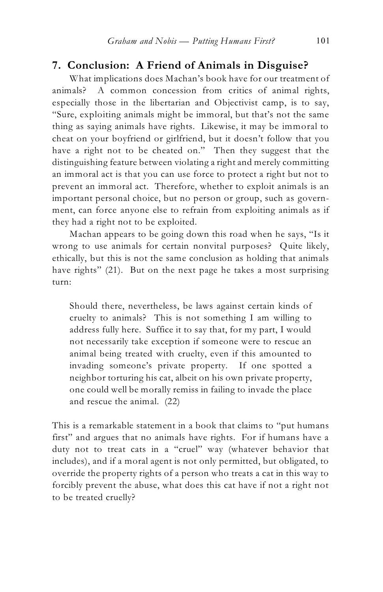#### **7. Conclusion: A Friend of Animals in Disguise?**

What implications does Machan's book have for our treatment of animals? A common concession from critics of animal rights, especially those in the libertarian and Objectivist camp, is to say, "Sure, exploiting animals might be immoral, but that's not the same thing as saying animals have rights. Likewise, it may be immoral to cheat on your boyfriend or girlfriend, but it doesn't follow that you have a right not to be cheated on." Then they suggest that the distinguishing feature between violating a right and merely committing an immoral act is that you can use force to protect a right but not to prevent an immoral act. Therefore, whether to exploit animals is an important personal choice, but no person or group, such as government, can force anyone else to refrain from exploiting animals as if they had a right not to be exploited.

Machan appears to be going down this road when he says, "Is it wrong to use animals for certain nonvital purposes? Quite likely, ethically, but this is not the same conclusion as holding that animals have rights" (21). But on the next page he takes a most surprising turn:

Should there, nevertheless, be laws against certain kinds of cruelty to animals? This is not something I am willing to address fully here. Suffice it to say that, for my part, I would not necessarily take exception if someone were to rescue an animal being treated with cruelty, even if this amounted to invading someone's private property. If one spotted a neighbor torturing his cat, albeit on his own private property, one could well be morally remiss in failing to invade the place and rescue the animal. (22)

This is a remarkable statement in a book that claims to "put humans first" and argues that no animals have rights. For if humans have a duty not to treat cats in a "cruel" way (whatever behavior that includes), and if a moral agent is not only permitted, but obligated, to override the property rights of a person who treats a cat in this way to forcibly prevent the abuse, what does this cat have if not a right not to be treated cruelly?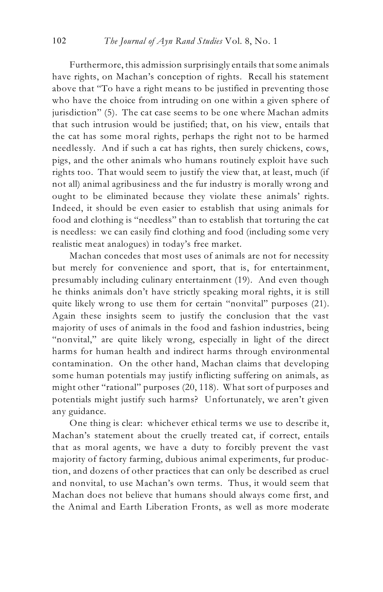Furthermore, this admission surprisingly entails that some animals have rights, on Machan's conception of rights. Recall his statement above that "To have a right means to be justified in preventing those who have the choice from intruding on one within a given sphere of jurisdiction" (5). The cat case seems to be one where Machan admits that such intrusion would be justified; that, on his view, entails that the cat has some moral rights, perhaps the right not to be harmed needlessly. And if such a cat has rights, then surely chickens, cows, pigs, and the other animals who humans routinely exploit have such rights too. That would seem to justify the view that, at least, much (if not all) animal agribusiness and the fur industry is morally wrong and ought to be eliminated because they violate these animals' rights. Indeed, it should be even easier to establish that using animals for food and clothing is "needless" than to establish that torturing the cat is needless: we can easily find clothing and food (including some very realistic meat analogues) in today's free market.

Machan concedes that most uses of animals are not for necessity but merely for convenience and sport, that is, for entertainment, presumably including culinary entertainment (19). And even though he thinks animals don't have strictly speaking moral rights, it is still quite likely wrong to use them for certain "nonvital" purposes (21). Again these insights seem to justify the conclusion that the vast majority of uses of animals in the food and fashion industries, being "nonvital," are quite likely wrong, especially in light of the direct harms for human health and indirect harms through environmental contamination. On the other hand, Machan claims that developing some human potentials may justify inflicting suffering on animals, as might other "rational" purposes (20, 118). What sort of purposes and potentials might justify such harms? Unfortunately, we aren't given any guidance.

One thing is clear: whichever ethical terms we use to describe it, Machan's statement about the cruelly treated cat, if correct, entails that as moral agents, we have a duty to forcibly prevent the vast majority of factory farming, dubious animal experiments, fur production, and dozens of other practices that can only be described as cruel and nonvital, to use Machan's own terms. Thus, it would seem that Machan does not believe that humans should always come first, and the Animal and Earth Liberation Fronts, as well as more moderate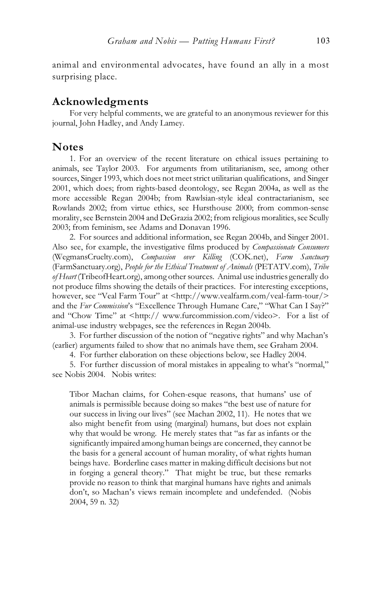animal and environmental advocates, have found an ally in a most surprising place.

#### **Acknowledgments**

For very helpful comments, we are grateful to an anonymous reviewer for this journal, John Hadley, and Andy Lamey.

#### **Notes**

1. For an overview of the recent literature on ethical issues pertaining to animals, see Taylor 2003. For arguments from utilitarianism, see, among other sources, Singer 1993, which does not meet strict utilitarian qualifications, and Singer 2001, which does; from rights-based deontology, see Regan 2004a, as well as the more accessible Regan 2004b; from Rawlsian-style ideal contractarianism, see Rowlands 2002; from virtue ethics, see Hursthouse 2000; from common-sense morality, see Bernstein 2004 and DeGrazia 2002; from religious moralities, see Scully 2003; from feminism, see Adams and Donavan 1996.

2. For sources and additional information, see Regan 2004b, and Singer 2001. Also see, for example, the investigative films produced by *Compassionate Consumers* (WegmansCruelty.com), *Compassion over Killing* (COK.net), *Farm Sanctuary* (FarmSanctuary.org), *People for the Ethical Treatment of Animals* (PETATV.com), *Tribe of Heart* (TribeofHeart.org), among other sources. Animal use industries generally do not produce films showing the details of their practices. For interesting exceptions, however, see "Veal Farm Tour" at <http://www.vealfarm.com/veal-farm-tour/> and the *Fur Commission*'s "Excellence Through Humane Care," "What Can I Say?" and "Chow Time" at <http:// www.furcommission.com/video>. For a list of animal-use industry webpages, see the references in Regan 2004b.

3. For further discussion of the notion of "negative rights" and why Machan's (earlier) arguments failed to show that no animals have them, see Graham 2004.

4. For further elaboration on these objections below, see Hadley 2004.

5. For further discussion of moral mistakes in appealing to what's "normal," see Nobis 2004. Nobis writes:

Tibor Machan claims, for Cohen-esque reasons, that humans' use of animals is permissible because doing so makes "the best use of nature for our success in living our lives" (see Machan 2002, 11). He notes that we also might benefit from using (marginal) humans, but does not explain why that would be wrong. He merely states that "as far as infants or the significantly impaired among human beings are concerned, they cannot be the basis for a general account of human morality, of what rights human beings have. Borderline cases matter in making difficult decisions but not in forging a general theory." That might be true, but these remarks provide no reason to think that marginal humans have rights and animals don't, so Machan's views remain incomplete and undefended. (Nobis 2004, 59 n. 32)